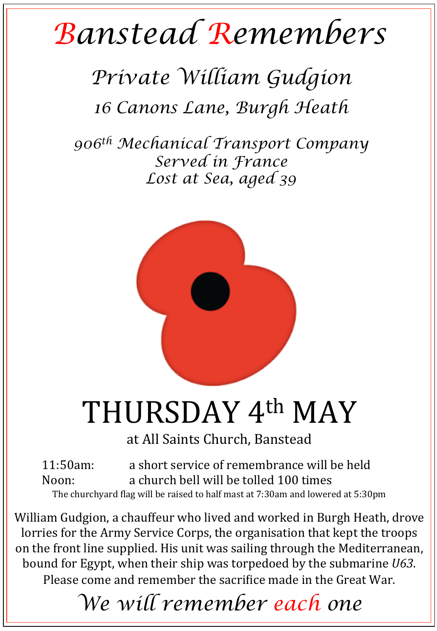## *Banstead Remembers*

## *Private William Gudgion 16 Canons Lane, Burgh Heath*

*906th Mechanical Transport Company Served in France Lost at Sea, aged 39* 



## THURSDAY 4th MAY

at All Saints Church, Banstead

11:50am: a short service of remembrance will be held Noon: a church bell will be tolled 100 times The churchyard flag will be raised to half mast at 7:30am and lowered at 5:30pm

William Gudgion, a chauffeur who lived and worked in Burgh Heath, drove lorries for the Army Service Corps, the organisation that kept the troops on the front line supplied. His unit was sailing through the Mediterranean, bound for Egypt, when their ship was torpedoed by the submarine *U63*. Please come and remember the sacrifice made in the Great War.

*We will remember each one*